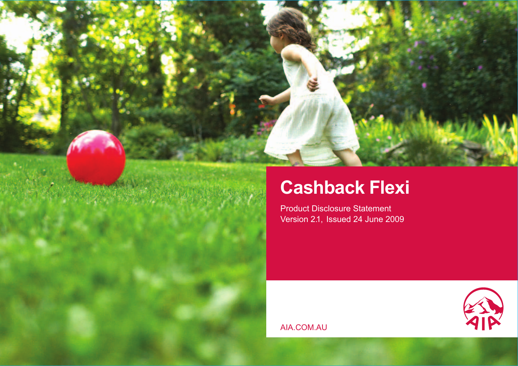

# **Cashback Flexi**

Product Disclosure Statement Version 2.1, Issued 24 June 2009



AIA.COM.AU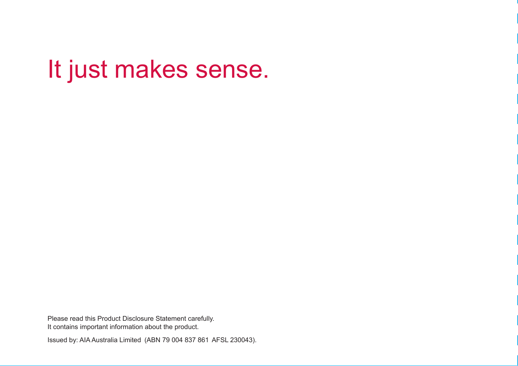# It just makes sense.

Please read this Product Disclosure Statement carefully. It contains important information about the product.

Issued by: AIA Australia Limited (ABN 79 004 837 861 AFSL 230043).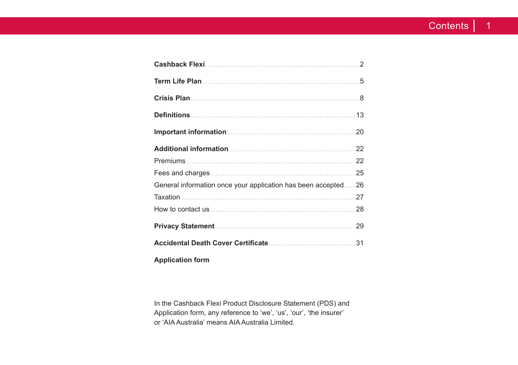| General information once your application has been accepted26 |  |
|---------------------------------------------------------------|--|
|                                                               |  |
|                                                               |  |
|                                                               |  |
|                                                               |  |
|                                                               |  |

**Application form**

In the Cashback Flexi Product Disclosure Statement (PDS) and Application form, any reference to 'we', 'us', 'our', 'the insurer' or 'AIA Australia' means AIA Australia Limited.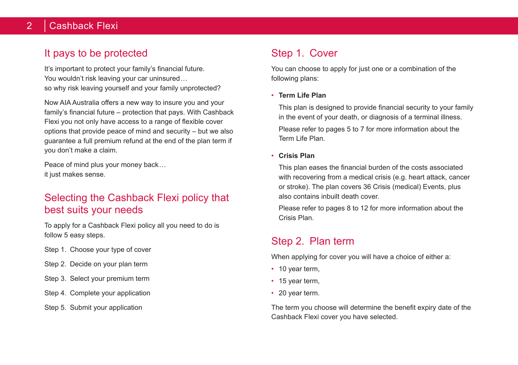# 2 | Cashback Flexi

# It pays to be protected

It's important to protect your family's financial future. You wouldn't risk leaving your car uninsured... so why risk leaving yourself and your family unprotected?

Now AIA Australia offers a new way to insure you and your family's financial future – protection that pays. With Cashback Flexi you not only have access to a range of flexible cover options that provide peace of mind and security – but we also guarantee a full premium refund at the end of the plan term if you don't make a claim.

Peace of mind plus your money back... it just makes sense.

# Selecting the Cashback Flexi policy that best suits your needs

To apply for a Cashback Flexi policy all you need to do is follow 5 easy steps.

- Step 1. Choose your type of cover
- Step 2. Decide on your plan term
- Step 3. Select your premium term
- Step 4. Complete your application
- Step 5. Submit your application

# Step 1. Cover

You can choose to apply for just one or a combination of the following plans:

• **Term Life Plan**

This plan is designed to provide financial security to your family in the event of your death, or diagnosis of a terminal illness.

Please refer to pages 5 to 7 for more information about the Term Life Plan.

• **Crisis Plan**

This plan eases the financial burden of the costs associated with recovering from a medical crisis (e.g. heart attack, cancer or stroke). The plan covers 36 Crisis (medical) Events, plus also contains inbuilt death cover.

Please refer to pages 8 to 12 for more information about the Crisis Plan.

# Step 2. Plan term

When applying for cover you will have a choice of either a:

- 10 year term,
- 15 year term.
- 20 year term.

The term you choose will determine the benefit expiry date of the Cashback Flexi cover you have selected.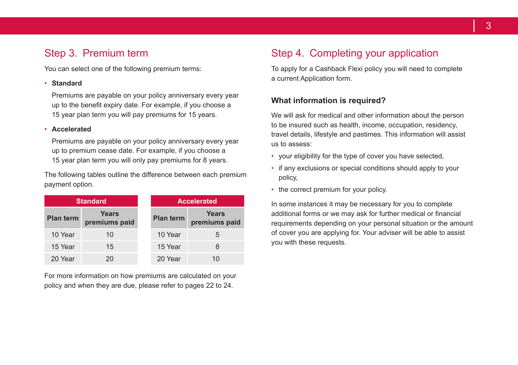# Step 3. Premium term

You can select one of the following premium terms:

#### • **Standard**

Premiums are payable on your policy anniversary every year up to the benefit expiry date. For example, if you choose a 15 year plan term you will pay premiums for 15 years.

#### • **Accelerated**

Premiums are payable on your policy anniversary every year up to premium cease date. For example, if you choose a 15 year plan term you will only pay premiums for 8 years.

The following tables outline the difference between each premium payment option.

| <b>Standard</b>  |                        | <b>Accelerated</b> |                        |
|------------------|------------------------|--------------------|------------------------|
| <b>Plan term</b> | Years<br>premiums paid | <b>Plan term</b>   | Years<br>premiums paid |
| 10 Year          | 10                     | 10 Year            | 5                      |
| 15 Year          | 15                     | 15 Year            | 8                      |
| 20 Year          | 20                     | 20 Year            | 10                     |

For more information on how premiums are calculated on your policy and when they are due, please refer to pages 22 to 24.

# Step 4. Completing your application

To apply for a Cashback Flexi policy you will need to complete a current Application form.

#### **What information is required?**

We will ask for medical and other information about the person to be insured such as health, income, occupation, residency, travel details, lifestyle and pastimes. This information will assist us to assess:

- your eligibility for the type of cover you have selected,
- if any exclusions or special conditions should apply to your policy,
- the correct premium for your policy.

In some instances it may be necessary for you to complete additional forms or we may ask for further medical or financial requirements depending on your personal situation or the amount of cover you are applying for. Your adviser will be able to assist you with these requests.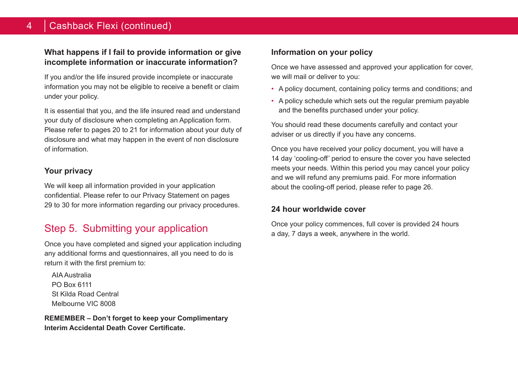## 4 Cashback Flexi (continued)

#### **What happens if I fail to provide information or give incomplete information or inaccurate information?**

If you and/or the life insured provide incomplete or inaccurate information you may not be eligible to receive a benefit or claim under your policy.

It is essential that you, and the life insured read and understand your duty of disclosure when completing an Application form. Please refer to pages 20 to 21 for information about your duty of disclosure and what may happen in the event of non disclosure of information.

#### **Your privacy**

We will keep all information provided in your application confidential. Please refer to our Privacy Statement on pages 29 to 30 for more information regarding our privacy procedures.

# Step 5. Submitting your application

Once you have completed and signed your application including any additional forms and questionnaires, all you need to do is return it with the first premium to:

AIA Australia PO Box 6111 St Kilda Road Central Melbourne VIC 8008

**REMEMBER – Don't forget to keep your Complimentary Interim Accidental Death Cover Certificate.**

## **Information on your policy**

Once we have assessed and approved your application for cover, we will mail or deliver to you:

- A policy document, containing policy terms and conditions; and
- A policy schedule which sets out the regular premium payable and the benefits purchased under your policy.

You should read these documents carefully and contact your adviser or us directly if you have any concerns.

Once you have received your policy document, you will have a 14 day 'cooling-off' period to ensure the cover you have selected meets your needs. Within this period you may cancel your policy and we will refund any premiums paid. For more information about the cooling-off period, please refer to page 26.

#### **24 hour worldwide cover**

Once your policy commences, full cover is provided 24 hours a day, 7 days a week, anywhere in the world.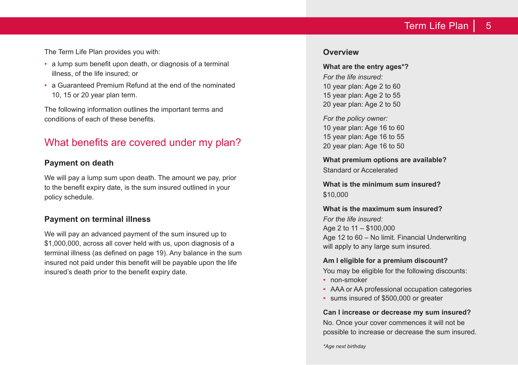# Term Life Plan  $\vert 5$

The Term Life Plan provides you with:

- a lump sum benefit upon death, or diagnosis of a terminal illness, of the life insured; or
- a Guaranteed Premium Refund at the end of the nominated 10, 15 or 20 year plan term.

The following information outlines the important terms and conditions of each of these benefits.

# What benefits are covered under my plan?

#### **Payment on death**

We will pay a lump sum upon death. The amount we pay, prior to the benefit expiry date, is the sum insured outlined in your policy schedule.

#### **Payment on terminal illness**

We will pay an advanced payment of the sum insured up to \$1,000,000, across all cover held with us, upon diagnosis of a terminal illness (as defined on page 19). Any balance in the sum insured not paid under this benefit will be payable upon the life insured's death prior to the benefit expiry date.

#### **Overview**

**What are the entry ages\*?** *For the life insured:* 10 year plan: Age 2 to 60 15 year plan: Age 2 to 55 20 year plan: Age 2 to 50

*For the policy owner:* 10 year plan: Age 16 to 60 15 year plan: Age 16 to 55 20 year plan: Age 16 to 50

**What premium options are available?** Standard or Accelerated

**What is the minimum sum insured?** \$10,000

**What is the maximum sum insured?** *For the life insured:* Age 2 to 11 – \$100,000 Age 12 to 60 – No limit. Financial Underwriting will apply to any large sum insured.

#### **Am I eligible for a premium discount?**

You may be eligible for the following discounts:

- non-smoker
- AAA or AA professional occupation categories
- sums insured of \$500,000 or greater

#### **Can I increase or decrease my sum insured?**

No. Once your cover commences it will not be possible to increase or decrease the sum insured.

*\*Age next birthday*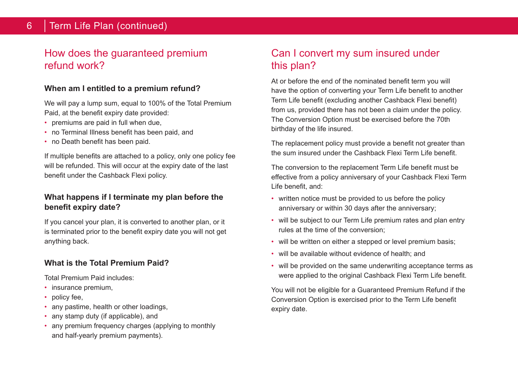# How does the guaranteed premium refund work?

## **When am I entitled to a premium refund?**

We will pay a lump sum, equal to 100% of the Total Premium Paid, at the benefit expiry date provided:

- premiums are paid in full when due,
- no Terminal Illness benefit has been paid, and
- no Death benefit has been paid.

If multiple benefits are attached to a policy, only one policy fee will be refunded. This will occur at the expiry date of the last benefit under the Cashback Flexi policy.

## **What happens if I terminate my plan before the benefit expiry date?**

If you cancel your plan, it is converted to another plan, or it is terminated prior to the benefit expiry date you will not get anything back.

## **What is the Total Premium Paid?**

Total Premium Paid includes:

- insurance premium,
- policy fee,
- any pastime, health or other loadings,
- any stamp duty (if applicable), and
- any premium frequency charges (applying to monthly and half-yearly premium payments).

# Can I convert my sum insured under this plan?

At or before the end of the nominated benefit term you will have the option of converting your Term Life benefit to another Term Life benefit (excluding another Cashback Flexi benefit) from us, provided there has not been a claim under the policy. The Conversion Option must be exercised before the 70th birthday of the life insured.

The replacement policy must provide a benefit not greater than the sum insured under the Cashback Flexi Term Life benefit.

The conversion to the replacement Term Life benefit must be effective from a policy anniversary of your Cashback Flexi Term Life benefit, and:

- written notice must be provided to us before the policy anniversary or within 30 days after the anniversary;
- will be subject to our Term Life premium rates and plan entry rules at the time of the conversion;
- will be written on either a stepped or level premium basis;
- will be available without evidence of health; and
- will be provided on the same underwriting acceptance terms as were applied to the original Cashback Flexi Term Life benefit.

You will not be eligible for a Guaranteed Premium Refund if the Conversion Option is exercised prior to the Term Life benefit expiry date.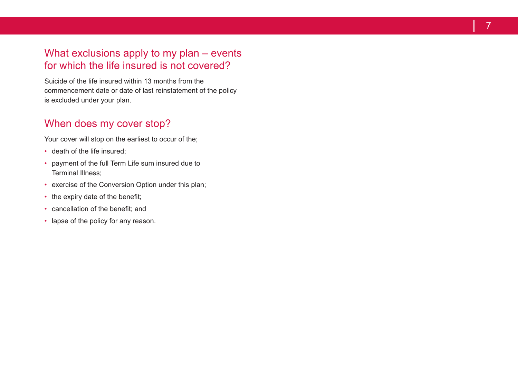# What exclusions apply to my plan – events for which the life insured is not covered?

Suicide of the life insured within 13 months from the commencement date or date of last reinstatement of the policy is excluded under your plan .

# When does my cover stop?

Your cover will stop on the earliest to occur of the;

- death of the life insured;
- payment of the full Term Life sum insured due to Terminal Illness;
- exercise of the Conversion Option under this plan;
- the expiry date of the benefit;
- cancellation of the benefit; and
- lapse of the policy for any reason.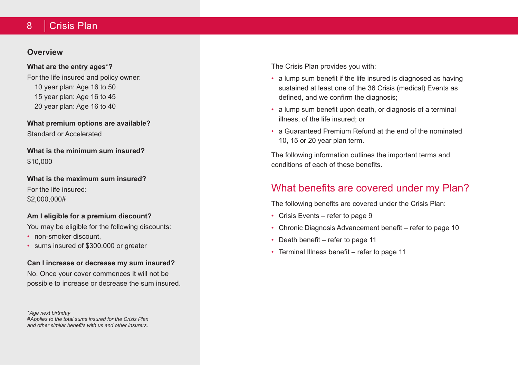#### 8 Crisis Plan

#### **Overview**

#### **What are the entry ages\*?**

For the life insured and policy owner: 10 year plan: Age 16 to 50 15 year plan: Age 16 to 45 20 year plan: Age 16 to 40

**What premium options are available?** Standard or Accelerated

**What is the minimum sum insured?** \$10,000

**What is the maximum sum insured?** For the life insured: \$2,000,000#

#### **Am I eligible for a premium discount?**

You may be eligible for the following discounts:

- non-smoker discount
- sums insured of \$300,000 or greater

#### **Can I increase or decrease my sum insured?**

No. Once your cover commences it will not be possible to increase or decrease the sum insured.

*\*Age next birthday #Applies to the total sums insured for the Crisis Plan and other similar benefits with us and other insurers.*

The Crisis Plan provides you with:

- a lump sum benefit if the life insured is diagnosed as having sustained at least one of the 36 Crisis (medical) Events as defined, and we confirm the diagnosis;
- a lump sum benefit upon death, or diagnosis of a terminal illness, of the life insured; or
- a Guaranteed Premium Refund at the end of the nominated 10, 15 or 20 year plan term.

The following information outlines the important terms and conditions of each of these benefits.

# What benefits are covered under my Plan?

The following benefits are covered under the Crisis Plan:

- Crisis Events refer to page 9
- Chronic Diagnosis Advancement benefit refer to page 10
- Death benefit refer to page 11
- Terminal Illness benefit refer to page 11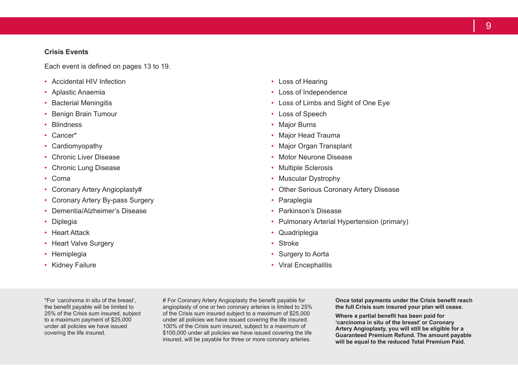#### **Crisis Events**

Each event is defined on pages 13 to 19.

- Accidental HIV Infection
- Aplastic Anaemia
- **Bacterial Meningitis**
- Benign Brain Tumour
- Blindness
- Cancer\*
- Cardiomyopathy
- Chronic Liver Disease
- Chronic Lung Disease
- Coma
- Coronary Artery Angioplasty#
- Coronary Artery By-pass Surgery
- Dementia/Alzheimer's Disease
- Diplegia
- Heart Attack
- Heart Valve Surgery
- Hemiplegia
- Kidney Failure
- Loss of Hearing
- Loss of Independence
- Loss of Limbs and Sight of One Eye
- Loss of Speech
- Major Burns
- Major Head Trauma
- Major Organ Transplant
- Motor Neurone Disease
- Multiple Sclerosis
- Muscular Dystrophy
- Other Serious Coronary Artery Disease
- Paraplegia
- Parkinson's Disease
- Pulmonary Arterial Hypertension (primary)
- Quadriplegia
- Stroke
- Surgery to Aorta
- Viral Encephalitis

\*For 'carcinoma in situ of the breast', the benefit payable will be limited to 25% of the Crisis sum insured, subject to a maximum payment of \$25,000 under all policies we have issued covering the life insured.

# For Coronary Artery Angioplasty the benefit payable for angioplasty of one or two coronary arteries is limited to 25% of the Crisis sum insured subject to a maximum of \$25,000 under all policies we have issued covering the life insured. 100% of the Crisis sum insured, subject to a maximum of \$100,000 under all policies we have issued covering the life insured, will be payable for three or more coronary arteries.

**Once total payments under the Crisis benefit reach the full Crisis sum insured your plan will cease.**

**Where a partial benefit has been paid for 'carcinoma in situ of the breast' or Coronary Artery Angioplasty, you will still be eligible for a Guaranteed Premium Refund. The amount payable will be equal to the reduced Total Premium Paid.**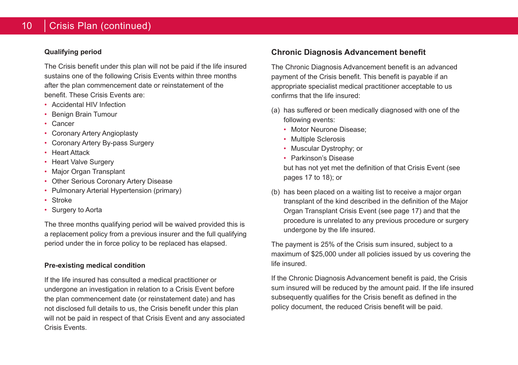#### **Qualifying period**

The Crisis benefit under this plan will not be paid if the life insured sustains one of the following Crisis Events within three months after the plan commencement date or reinstatement of the benefit. These Crisis Events are:

- Accidental HIV Infection
- Benign Brain Tumour
- Cancer
- Coronary Artery Angioplasty
- Coronary Artery By-pass Surgery
- Heart Attack
- **Heart Valve Surgery**
- Major Organ Transplant
- Other Serious Coronary Artery Disease
- Pulmonary Arterial Hypertension (primary)
- Stroke
- Surgery to Aorta

The three months qualifying period will be waived provided this is a replacement policy from a previous insurer and the full qualifying period under the in force policy to be replaced has elapsed.

#### **Pre-existing medical condition**

If the life insured has consulted a medical practitioner or undergone an investigation in relation to a Crisis Event before the plan commencement date (or reinstatement date) and has not disclosed full details to us, the Crisis benefit under this plan will not be paid in respect of that Crisis Event and any associated Crisis Events.

## **Chronic Diagnosis Advancement benefit**

The Chronic Diagnosis Advancement benefit is an advanced payment of the Crisis benefit. This benefit is payable if an appropriate specialist medical practitioner acceptable to us confirms that the life insured:

- (a) has suffered or been medically diagnosed with one of the following events:
	- Motor Neurone Disease;
	- Multiple Sclerosis
	- Muscular Dystrophy; or
	- Parkinson's Disease but has not yet met the definition of that Crisis Event (see pages 17 to 18); or
- (b) has been placed on a waiting list to receive a major organ transplant of the kind described in the definition of the Major Organ Transplant Crisis Event (see page 17) and that the procedure is unrelated to any previous procedure or surgery undergone by the life insured.

The payment is 25% of the Crisis sum insured, subject to a maximum of \$25,000 under all policies issued by us covering the life insured.

If the Chronic Diagnosis Advancement benefit is paid, the Crisis sum insured will be reduced by the amount paid. If the life insured subsequently qualifies for the Crisis benefit as defined in the policy document, the reduced Crisis benefit will be paid.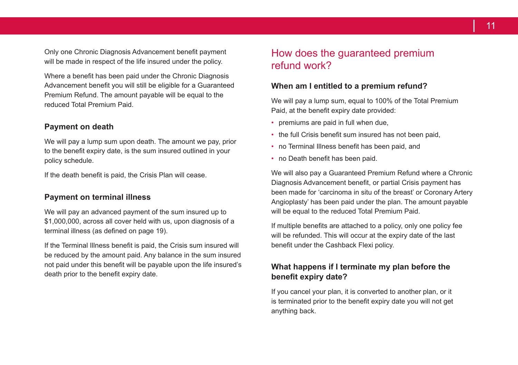Only one Chronic Diagnosis Advancement benefit payment will be made in respect of the life insured under the policy.

Where a benefit has been paid under the Chronic Diagnosis Advancement benefit you will still be eligible for a Guaranteed Premium Refund. The amount payable will be equal to the reduced Total Premium Paid.

#### **Payment on death**

We will pay a lump sum upon death. The amount we pay, prior to the benefit expiry date, is the sum insured outlined in your policy schedule.

If the death benefit is paid, the Crisis Plan will cease.

#### **Payment on terminal illness**

We will pay an advanced payment of the sum insured up to \$1,000,000, across all cover held with us, upon diagnosis of a terminal illness (as defined on page 19).

If the Terminal Illness benefit is paid, the Crisis sum insured will be reduced by the amount paid. Any balance in the sum insured not paid under this benefit will be payable upon the life insured's death prior to the benefit expiry date.

# How does the guaranteed premium refund work?

#### **When am I entitled to a premium refund?**

We will pay a lump sum, equal to 100% of the Total Premium Paid, at the benefit expiry date provided:

- premiums are paid in full when due,
- the full Crisis benefit sum insured has not been paid,
- no Terminal Illness benefit has been paid, and
- no Death benefit has been paid.

We will also pay a Guaranteed Premium Refund where a Chronic Diagnosis Advancement benefit, or partial Crisis payment has been made for 'carcinoma in situ of the breast' or Coronary Artery Angioplasty' has been paid under the plan. The amount payable will be equal to the reduced Total Premium Paid.

If multiple benefits are attached to a policy, only one policy fee will be refunded. This will occur at the expiry date of the last benefit under the Cashback Flexi policy.

#### **What happens if I terminate my plan before the benefit expiry date?**

If you cancel your plan, it is converted to another plan, or it is terminated prior to the benefit expiry date you will not get anything back.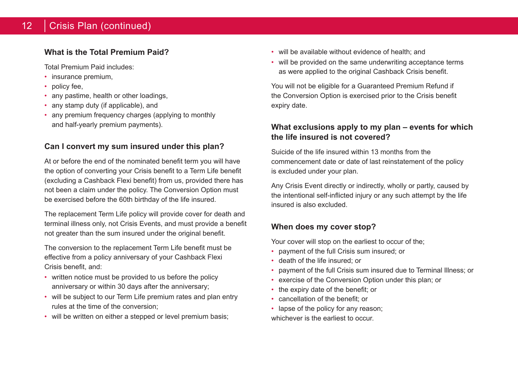## 12 | Crisis Plan (continued)

## **What is the Total Premium Paid?**

Total Premium Paid includes:

- insurance premium,
- policy fee,
- any pastime, health or other loadings,
- any stamp duty (if applicable), and
- any premium frequency charges (applying to monthly and half-yearly premium payments).

## **Can I convert my sum insured under this plan?**

At or before the end of the nominated benefit term you will have the option of converting your Crisis benefit to a Term Life benefit (excluding a Cashback Flexi benefit) from us, provided there has not been a claim under the policy. The Conversion Option must be exercised before the 60th birthday of the life insured.

The replacement Term Life policy will provide cover for death and terminal illness only, not Crisis Events, and must provide a benefit not greater than the sum insured under the original benefit.

The conversion to the replacement Term Life benefit must be effective from a policy anniversary of your Cashback Flexi Crisis benefit, and:

- written notice must be provided to us before the policy anniversary or within 30 days after the anniversary;
- will be subject to our Term Life premium rates and plan entry rules at the time of the conversion;
- will be written on either a stepped or level premium basis:
- will be available without evidence of health; and
- will be provided on the same underwriting acceptance terms as were applied to the original Cashback Crisis benefit.

You will not be eligible for a Guaranteed Premium Refund if the Conversion Option is exercised prior to the Crisis benefit expiry date.

## **What exclusions apply to my plan – events for which the life insured is not covered?**

Suicide of the life insured within 13 months from the commencement date or date of last reinstatement of the policy is excluded under your plan.

Any Crisis Event directly or indirectly, wholly or partly, caused by the intentional self-inflicted injury or any such attempt by the life insured is also excluded.

## **When does my cover stop?**

Your cover will stop on the earliest to occur of the;

- payment of the full Crisis sum insured; or
- death of the life insured; or
- payment of the full Crisis sum insured due to Terminal Illness; or
- exercise of the Conversion Option under this plan; or
- the expiry date of the benefit; or
- cancellation of the benefit; or
- lapse of the policy for any reason; whichever is the earliest to occur.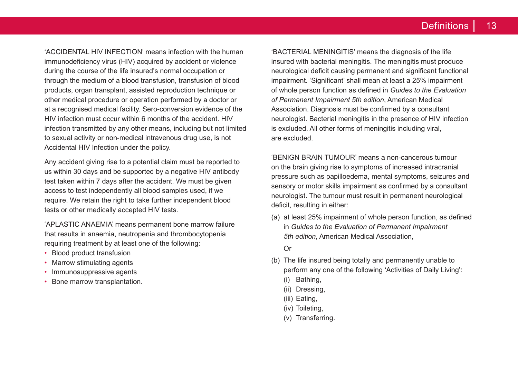'ACCIDENTAL HIV INFECTION' means infection with the human immunodeficiency virus (HIV) acquired by accident or violence during the course of the life insured's normal occupation or through the medium of a blood transfusion, transfusion of blood products, organ transplant, assisted reproduction technique or other medical procedure or operation performed by a doctor or at a recognised medical facility. Sero-conversion evidence of the HIV infection must occur within 6 months of the accident. HIV infection transmitted by any other means, including but not limited to sexual activity or non-medical intravenous drug use, is not Accidental HIV Infection under the policy.

Any accident giving rise to a potential claim must be reported to us within 30 days and be supported by a negative HIV antibody test taken within 7 days after the accident. We must be given access to test independently all blood samples used, if we require. We retain the right to take further independent blood tests or other medically accepted HIV tests.

'APLASTIC ANAEMIA' means permanent bone marrow failure that results in anaemia, neutropenia and thrombocytopenia requiring treatment by at least one of the following:

- Blood product transfusion
- Marrow stimulating agents
- Immunosuppressive agents
- Bone marrow transplantation.

'BACTERIAL MENINGITIS' means the diagnosis of the life insured with bacterial meningitis. The meningitis must produce neurological deficit causing permanent and significant functional impairment. 'Significant' shall mean at least a 25% impairment of whole person function as defined in *Guides to the Evaluation of Permanent Impairment 5th edition*, American Medical Association. Diagnosis must be confirmed by a consultant neurologist. Bacterial meningitis in the presence of HIV infection is excluded. All other forms of meningitis including viral, are excluded.

'BENIGN BRAIN TUMOUR' means a non-cancerous tumour on the brain giving rise to symptoms of increased intracranial pressure such as papilloedema, mental symptoms, seizures and sensory or motor skills impairment as confirmed by a consultant neurologist. The tumour must result in permanent neurological deficit, resulting in either:

(a) at least 25% impairment of whole person function, as defined in *Guides to the Evaluation of Permanent Impairment 5th edition*, American Medical Association,

Or

- (b) The life insured being totally and permanently unable to perform any one of the following 'Activities of Daily Living':
	- (i) Bathing,
	- (ii) Dressing,
	- (iii) Eating,
	- (iv) Toileting,
	- (v) Transferring.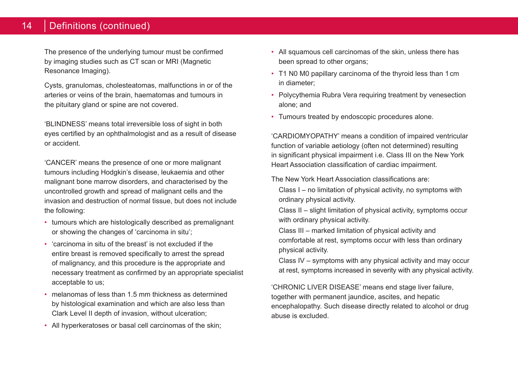## 14 | Definitions (continued)

The presence of the underlying tumour must be confirmed by imaging studies such as CT scan or MRI (Magnetic Resonance Imaging).

Cysts, granulomas, cholesteatomas, malfunctions in or of the arteries or veins of the brain, haematomas and tumours in the pituitary gland or spine are not covered.

'BLINDNESS' means total irreversible loss of sight in both eyes certified by an ophthalmologist and as a result of disease or accident.

'CANCER' means the presence of one or more malignant tumours including Hodgkin's disease, leukaemia and other malignant bone marrow disorders, and characterised by the uncontrolled growth and spread of malignant cells and the invasion and destruction of normal tissue, but does not include the following:

- tumours which are histologically described as premalignant or showing the changes of 'carcinoma in situ';
- 'carcinoma in situ of the breast' is not excluded if the entire breast is removed specifically to arrest the spread of malignancy, and this procedure is the appropriate and necessary treatment as confirmed by an appropriate specialist acceptable to us;
- melanomas of less than 1.5 mm thickness as determined by histological examination and which are also less than Clark Level II depth of invasion, without ulceration;
- All hyperkeratoses or basal cell carcinomas of the skin;
- All squamous cell carcinomas of the skin, unless there has been spread to other organs:
- T1 N0 M0 papillary carcinoma of the thyroid less than 1cm in diameter;
- Polycythemia Rubra Vera requiring treatment by venesection alone; and
- Tumours treated by endoscopic procedures alone.

'CARDIOMYOPATHY' means a condition of impaired ventricular function of variable aetiology (often not determined) resulting in significant physical impairment i.e. Class III on the New York Heart Association classification of cardiac impairment.

The New York Heart Association classifications are:

Class I – no limitation of physical activity, no symptoms with ordinary physical activity.

Class II – slight limitation of physical activity, symptoms occur with ordinary physical activity.

Class III – marked limitation of physical activity and comfortable at rest, symptoms occur with less than ordinary physical activity.

Class IV – symptoms with any physical activity and may occur at rest, symptoms increased in severity with any physical activity.

'CHRONIC LIVER DISEASE' means end stage liver failure, together with permanent jaundice, ascites, and hepatic encephalopathy. Such disease directly related to alcohol or drug abuse is excluded.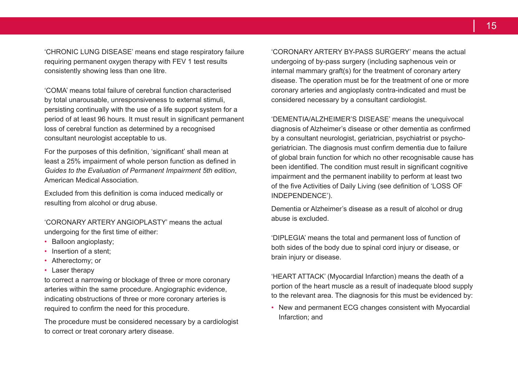'CHRONIC LUNG DISEASE' means end stage respiratory failure requiring permanent oxygen therapy with FEV 1 test results consistently showing less than one litre.

'COMA' means total failure of cerebral function characterised by total unarousable, unresponsiveness to external stimuli, persisting continually with the use of a life support system for a period of at least 96 hours. It must result in significant permanent loss of cerebral function as determined by a recognised consultant neurologist acceptable to us.

For the purposes of this definition, 'significant' shall mean at least a 25% impairment of whole person function as defined in *Guides to the Evaluation of Permanent Impairment 5th edition*, American Medical Association.

Excluded from this definition is coma induced medically or resulting from alcohol or drug abuse.

'CORONARY ARTERY ANGIOPLASTY' means the actual undergoing for the first time of either:

- Balloon angioplasty;
- Insertion of a stent:
- Atherectomy; or
- Laser therapy

to correct a narrowing or blockage of three or more coronary arteries within the same procedure. Angiographic evidence, indicating obstructions of three or more coronary arteries is required to confirm the need for this procedure.

The procedure must be considered necessary by a cardiologist to correct or treat coronary artery disease.

'CORONARY ARTERY BY-PASS SURGERY' means the actual undergoing of by-pass surgery (including saphenous vein or internal mammary graft(s) for the treatment of coronary artery disease. The operation must be for the treatment of one or more coronary arteries and angioplasty contra-indicated and must be considered necessary by a consultant cardiologist.

'DEMENTIA/ALZHEIMER'S DISEASE' means the unequivocal diagnosis of Alzheimer's disease or other dementia as confirmed by a consultant neurologist, geriatrician, psychiatrist or psychogeriatrician. The diagnosis must confirm dementia due to failure of global brain function for which no other recognisable cause has been identified. The condition must result in significant cognitive impairment and the permanent inability to perform at least two of the five Activities of Daily Living (see definition of 'LOSS OF INDEPENDENCE').

Dementia or Alzheimer's disease as a result of alcohol or drug abuse is excluded.

'DIPLEGIA' means the total and permanent loss of function of both sides of the body due to spinal cord injury or disease, or brain injury or disease.

'HEART ATTACK' (Myocardial Infarction) means the death of a portion of the heart muscle as a result of inadequate blood supply to the relevant area. The diagnosis for this must be evidenced by:

• New and permanent ECG changes consistent with Myocardial Infarction; and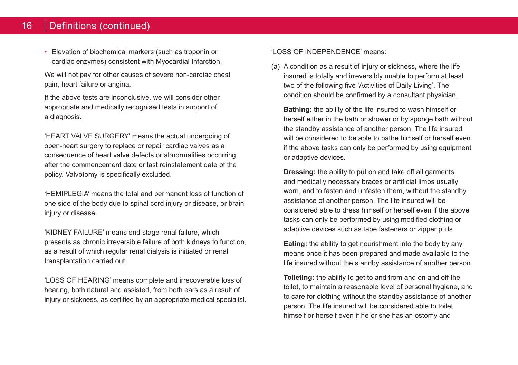#### 16 Definitions (continued)

• Elevation of biochemical markers (such as troponin or cardiac enzymes) consistent with Myocardial Infarction.

We will not pay for other causes of severe non-cardiac chest pain, heart failure or angina.

If the above tests are inconclusive, we will consider other appropriate and medically recognised tests in support of a diagnosis.

'HEART VALVE SURGERY' means the actual undergoing of open-heart surgery to replace or repair cardiac valves as a consequence of heart valve defects or abnormalities occurring after the commencement date or last reinstatement date of the policy. Valvotomy is specifically excluded.

'HEMIPLEGIA' means the total and permanent loss of function of one side of the body due to spinal cord injury or disease, or brain injury or disease.

'KIDNEY FAILURE' means end stage renal failure, which presents as chronic irreversible failure of both kidneys to function, as a result of which regular renal dialysis is initiated or renal transplantation carried out.

'LOSS OF HEARING' means complete and irrecoverable loss of hearing, both natural and assisted, from both ears as a result of injury or sickness, as certified by an appropriate medical specialist. 'LOSS OF INDEPENDENCE' means:

(a) A condition as a result of injury or sickness, where the life insured is totally and irreversibly unable to perform at least two of the following five 'Activities of Daily Living'. The condition should be confirmed by a consultant physician.

**Bathing:** the ability of the life insured to wash himself or herself either in the bath or shower or by sponge bath without the standby assistance of another person. The life insured will be considered to be able to bathe himself or herself even if the above tasks can only be performed by using equipment or adaptive devices.

**Dressing:** the ability to put on and take off all garments and medically necessary braces or artificial limbs usually worn, and to fasten and unfasten them, without the standby assistance of another person. The life insured will be considered able to dress himself or herself even if the above tasks can only be performed by using modified clothing or adaptive devices such as tape fasteners or zipper pulls.

**Eating:** the ability to get nourishment into the body by any means once it has been prepared and made available to the life insured without the standby assistance of another person.

**Toileting:** the ability to get to and from and on and off the toilet, to maintain a reasonable level of personal hygiene, and to care for clothing without the standby assistance of another person. The life insured will be considered able to toilet himself or herself even if he or she has an ostomy and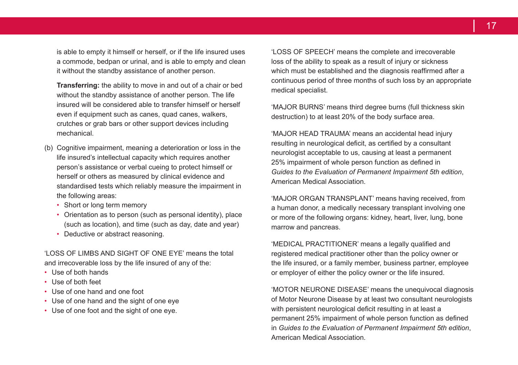is able to empty it himself or herself, or if the life insured uses a commode, bedpan or urinal, and is able to empty and clean it without the standby assistance of another person.

**Transferring:** the ability to move in and out of a chair or bed without the standby assistance of another person. The life insured will be considered able to transfer himself or herself even if equipment such as canes, quad canes, walkers, crutches or grab bars or other support devices including mechanical.

- (b) Cognitive impairment, meaning a deterioration or loss in the life insured's intellectual capacity which requires another person's assistance or verbal cueing to protect himself or herself or others as measured by clinical evidence and standardised tests which reliably measure the impairment in the following areas:
	- Short or long term memory
	- Orientation as to person (such as personal identity), place (such as location), and time (such as day, date and year)
	- Deductive or abstract reasoning.

'LOSS OF LIMBS AND SIGHT OF ONE EYE' means the total and irrecoverable loss by the life insured of any of the:

- Use of both hands
- Use of both feet
- Use of one hand and one foot
- Use of one hand and the sight of one eye
- Use of one foot and the sight of one eye.

'LOSS OF SPEECH' means the complete and irrecoverable loss of the ability to speak as a result of injury or sickness which must be established and the diagnosis reaffirmed after a continuous period of three months of such loss by an appropriate medical specialist.

'MAJOR BURNS' means third degree burns (full thickness skin destruction) to at least 20% of the body surface area.

'MAJOR HEAD TRAUMA' means an accidental head injury resulting in neurological deficit, as certified by a consultant neurologist acceptable to us, causing at least a permanent 25% impairment of whole person function as defined in *Guides to the Evaluation of Permanent Impairment 5th edition*, American Medical Association.

'MAJOR ORGAN TRANSPLANT' means having received, from a human donor, a medically necessary transplant involving one or more of the following organs: kidney, heart, liver, lung, bone marrow and pancreas.

'MEDICAL PRACTITIONER' means a legally qualified and registered medical practitioner other than the policy owner or the life insured, or a family member, business partner, employee or employer of either the policy owner or the life insured.

'MOTOR NEURONE DISEASE' means the unequivocal diagnosis of Motor Neurone Disease by at least two consultant neurologists with persistent neurological deficit resulting in at least a permanent 25% impairment of whole person function as defined in *Guides to the Evaluation of Permanent Impairment 5th edition*, American Medical Association.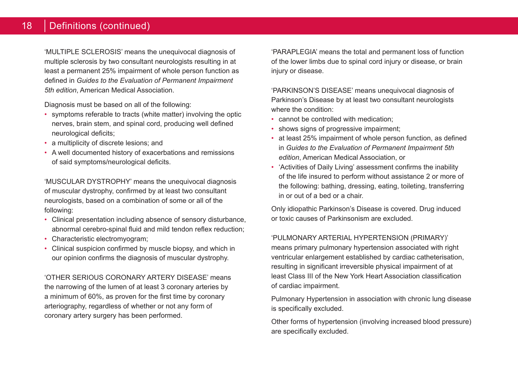## 18 | Definitions (continued)

'MULTIPLE SCLEROSIS' means the unequivocal diagnosis of multiple sclerosis by two consultant neurologists resulting in at least a permanent 25% impairment of whole person function as defined in *Guides to the Evaluation of Permanent Impairment 5th edition*, American Medical Association.

Diagnosis must be based on all of the following:

- symptoms referable to tracts (white matter) involving the optic nerves, brain stem, and spinal cord, producing well defined neurological deficits;
- a multiplicity of discrete lesions; and
- A well documented history of exacerbations and remissions of said symptoms/neurological deficits.

'MUSCULAR DYSTROPHY' means the unequivocal diagnosis of muscular dystrophy, confirmed by at least two consultant neurologists, based on a combination of some or all of the following:

- Clinical presentation including absence of sensory disturbance, abnormal cerebro-spinal fluid and mild tendon reflex reduction;
- Characteristic electromyogram;
- Clinical suspicion confirmed by muscle biopsy, and which in our opinion confirms the diagnosis of muscular dystrophy.

'OTHER SERIOUS CORONARY ARTERY DISEASE' means the narrowing of the lumen of at least 3 coronary arteries by a minimum of 60%, as proven for the first time by coronary arteriography, regardless of whether or not any form of coronary artery surgery has been performed.

'PARAPLEGIA' means the total and permanent loss of function of the lower limbs due to spinal cord injury or disease, or brain injury or disease.

'PARKINSON'S DISEASE' means unequivocal diagnosis of Parkinson's Disease by at least two consultant neurologists where the condition:

- cannot be controlled with medication;
- shows signs of progressive impairment;
- at least 25% impairment of whole person function, as defined in *Guides to the Evaluation of Permanent Impairment 5th edition*, American Medical Association, or
- 'Activities of Daily Living' assessment confirms the inability of the life insured to perform without assistance 2 or more of the following: bathing, dressing, eating, toileting, transferring in or out of a bed or a chair.

Only idiopathic Parkinson's Disease is covered. Drug induced or toxic causes of Parkinsonism are excluded.

#### 'PULMONARY ARTERIAL HYPERTENSION (PRIMARY)'

means primary pulmonary hypertension associated with right ventricular enlargement established by cardiac catheterisation, resulting in significant irreversible physical impairment of at least Class III of the New York Heart Association classification of cardiac impairment.

Pulmonary Hypertension in association with chronic lung disease is specifically excluded.

Other forms of hypertension (involving increased blood pressure) are specifically excluded.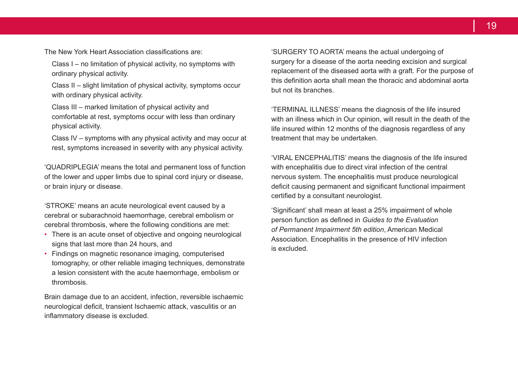The New York Heart Association classifications are:

Class I – no limitation of physical activity, no symptoms with ordinary physical activity.

Class II – slight limitation of physical activity, symptoms occur with ordinary physical activity.

Class III – marked limitation of physical activity and comfortable at rest, symptoms occur with less than ordinary physical activity.

Class IV – symptoms with any physical activity and may occur at rest, symptoms increased in severity with any physical activity.

'QUADRIPLEGIA' means the total and permanent loss of function of the lower and upper limbs due to spinal cord injury or disease, or brain injury or disease.

'STROKE' means an acute neurological event caused by a cerebral or subarachnoid haemorrhage, cerebral embolism or cerebral thrombosis, where the following conditions are met:

- There is an acute onset of objective and ongoing neurological signs that last more than 24 hours, and
- Findings on magnetic resonance imaging, computerised tomography, or other reliable imaging techniques, demonstrate a lesion consistent with the acute haemorrhage, embolism or thrombosis.

Brain damage due to an accident, infection, reversible ischaemic neurological deficit, transient Ischaemic attack, vasculitis or an inflammatory disease is excluded.

'SURGERY TO AORTA' means the actual undergoing of surgery for a disease of the aorta needing excision and surgical replacement of the diseased aorta with a graft. For the purpose of this definition aorta shall mean the thoracic and abdominal aorta but not its branches.

'TERMINAL ILLNESS' means the diagnosis of the life insured with an illness which in Our opinion, will result in the death of the life insured within 12 months of the diagnosis regardless of any treatment that may be undertaken.

'VIRAL ENCEPHALITIS' means the diagnosis of the life insured with encephalitis due to direct viral infection of the central nervous system. The encephalitis must produce neurological deficit causing permanent and significant functional impairment certified by a consultant neurologist.

'Significant' shall mean at least a 25% impairment of whole person function as defined in *Guides to the Evaluation of Permanent Impairment 5th edition*, American Medical Association. Encephalitis in the presence of HIV infection is excluded.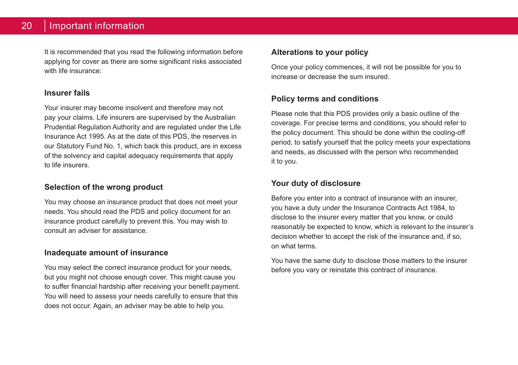It is recommended that you read the following information before applying for cover as there are some significant risks associated with life insurance:

#### **Insurer fails**

Your insurer may become insolvent and therefore may not pay your claims. Life insurers are supervised by the Australian Prudential Regulation Authority and are regulated under the Life Insurance Act 1995. As at the date of this PDS, the reserves in our Statutory Fund No. 1, which back this product, are in excess of the solvency and capital adequacy requirements that apply to life insurers.

## **Selection of the wrong product**

You may choose an insurance product that does not meet your needs. You should read the PDS and policy document for an insurance product carefully to prevent this. You may wish to consult an adviser for assistance.

#### **Inadequate amount of insurance**

You may select the correct insurance product for your needs, but you might not choose enough cover. This might cause you to suffer financial hardship after receiving your benefit payment. You will need to assess your needs carefully to ensure that this does not occur. Again, an adviser may be able to help you.

## **Alterations to your policy**

Once your policy commences, it will not be possible for you to increase or decrease the sum insured.

#### **Policy terms and conditions**

Please note that this PDS provides only a basic outline of the coverage. For precise terms and conditions, you should refer to the policy document. This should be done within the cooling-off period, to satisfy yourself that the policy meets your expectations and needs, as discussed with the person who recommended it to you.

## **Your duty of disclosure**

Before you enter into a contract of insurance with an insurer, you have a duty under the Insurance Contracts Act 1984, to disclose to the insurer every matter that you know, or could reasonably be expected to know, which is relevant to the insurer's decision whether to accept the risk of the insurance and, if so, on what terms.

You have the same duty to disclose those matters to the insurer before you vary or reinstate this contract of insurance.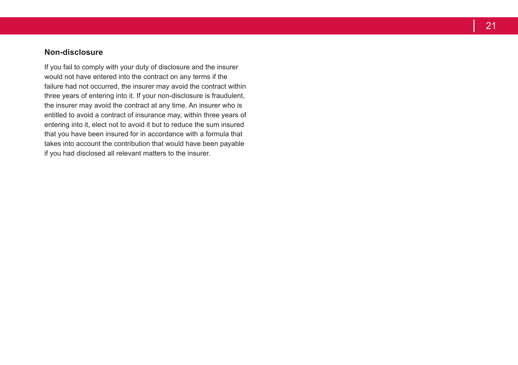## **Non-disclosure**

If you fail to comply with your duty of disclosure and the insurer would not have entered into the contract on any terms if the failure had not occurred, the insurer may avoid the contract within three years of entering into it . If your non-disclosure is fraudulent, the insurer may avoid the contract at any time . An insurer who is entitled to avoid a contract of insurance may, within three years of entering into it, elect not to avoid it but to reduce the sum insured that you have been insured for in accordance with a formula that takes into account the contribution that would have been payable if you had disclosed all relevant matters to the insurer .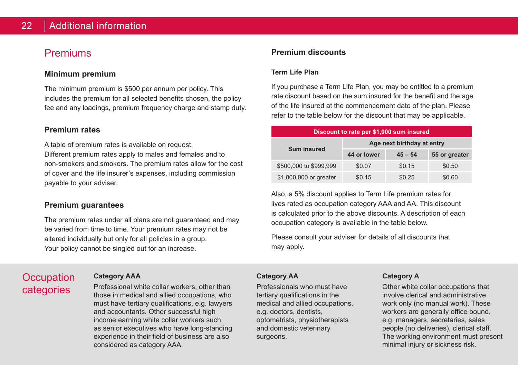## **Premiums**

#### **Minimum premium**

The minimum premium is \$500 per annum per policy. This includes the premium for all selected benefits chosen, the policy fee and any loadings, premium frequency charge and stamp duty.

#### **Premium rates**

A table of premium rates is available on request.

Different premium rates apply to males and females and to non-smokers and smokers. The premium rates allow for the cost of cover and the life insurer's expenses, including commission payable to your adviser.

#### **Premium guarantees**

The premium rates under all plans are not guaranteed and may be varied from time to time. Your premium rates may not be altered individually but only for all policies in a group. Your policy cannot be singled out for an increase.

# **Occupation** categories

#### **Category AAA**

Professional white collar workers, other than those in medical and allied occupations, who must have tertiary qualifications, e.g. lawyers and accountants. Other successful high income earning white collar workers such as senior executives who have long-standing experience in their field of business are also considered as category AAA.

#### **Premium discounts**

#### **Term Life Plan**

If you purchase a Term Life Plan, you may be entitled to a premium rate discount based on the sum insured for the benefit and the age of the life insured at the commencement date of the plan. Please refer to the table below for the discount that may be applicable.

| Discount to rate per \$1,000 sum insured |                            |           |               |  |
|------------------------------------------|----------------------------|-----------|---------------|--|
| Sum insured                              | Age next birthday at entry |           |               |  |
|                                          | 44 or lower                | $45 - 54$ | 55 or greater |  |
| \$500,000 to \$999,999                   | \$0.07                     | \$0.15    | \$0.50        |  |
| \$1,000,000 or greater                   | \$0.15                     | \$0.25    | \$0.60        |  |

Also, a 5% discount applies to Term Life premium rates for lives rated as occupation category AAA and AA. This discount is calculated prior to the above discounts. A description of each occupation category is available in the table below.

Please consult your adviser for details of all discounts that may apply.

#### **Category AA**

Professionals who must have tertiary qualifications in the medical and allied occupations. e.g. doctors, dentists, optometrists, physiotherapists and domestic veterinary surgeons.

#### **Category A**

Other white collar occupations that involve clerical and administrative work only (no manual work). These workers are generally office bound, e.g. managers, secretaries, sales people (no deliveries), clerical staff. The working environment must present minimal injury or sickness risk.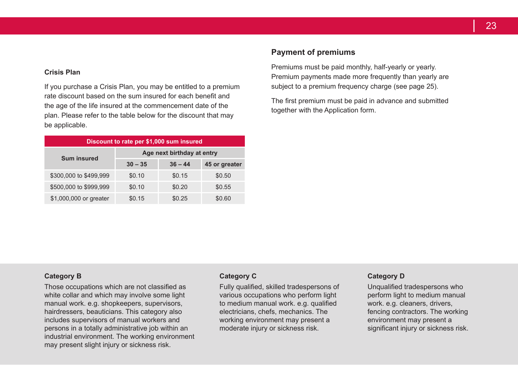#### **Crisis Plan**

If you purchase a Crisis Plan, you may be entitled to a premium rate discount based on the sum insured for each benefit and the age of the life insured at the commencement date of the plan. Please refer to the table below for the discount that may be applicable.

| Discount to rate per \$1,000 sum insured |                            |           |               |  |
|------------------------------------------|----------------------------|-----------|---------------|--|
| <b>Sum insured</b>                       | Age next birthday at entry |           |               |  |
|                                          | $30 - 35$                  | $36 - 44$ | 45 or greater |  |
| \$300,000 to \$499,999                   | \$0.10                     | \$0.15    | \$0.50        |  |
| \$500,000 to \$999,999                   | \$0.10                     | \$0.20    | \$0.55        |  |
| \$1,000,000 or greater                   | \$0.15                     | \$0.25    | \$0.60        |  |

#### **Payment of premiums**

Premiums must be paid monthly, half-yearly or yearly. Premium payments made more frequently than yearly are subject to a premium frequency charge (see page 25).

The first premium must be paid in advance and submitted together with the Application form.

#### **Category B**

Those occupations which are not classified as white collar and which may involve some light manual work. e.g. shopkeepers, supervisors, hairdressers, beauticians. This category also includes supervisors of manual workers and persons in a totally administrative job within an industrial environment. The working environment may present slight injury or sickness risk.

#### **Category C**

Fully qualified, skilled tradespersons of various occupations who perform light to medium manual work. e.g. qualified electricians, chefs, mechanics. The working environment may present a moderate injury or sickness risk.

#### **Category D**

Unqualified tradespersons who perform light to medium manual work. e.g. cleaners, drivers, fencing contractors. The working environment may present a significant injury or sickness risk.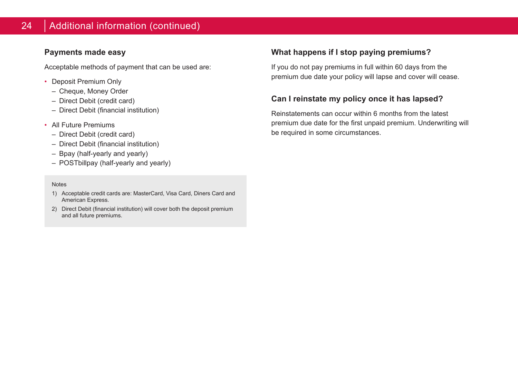### **Payments made easy**

Acceptable methods of payment that can be used are:

- Deposit Premium Only
	- Cheque, Money Order
	- Direct Debit (credit card)
	- Direct Debit (financial institution)
- All Future Premiums
	- Direct Debit (credit card)
	- Direct Debit (financial institution)
	- Bpay (half-yearly and yearly)
	- POSTbillpay (half-yearly and yearly)

#### **Notes**

- 1) Acceptable credit cards are: MasterCard, Visa Card, Diners Card and American Express.
- 2) Direct Debit (financial institution) will cover both the deposit premium and all future premiums.

## **What happens if I stop paying premiums?**

If you do not pay premiums in full within 60 days from the premium due date your policy will lapse and cover will cease.

## **Can I reinstate my policy once it has lapsed?**

Reinstatements can occur within 6 months from the latest premium due date for the first unpaid premium. Underwriting will be required in some circumstances.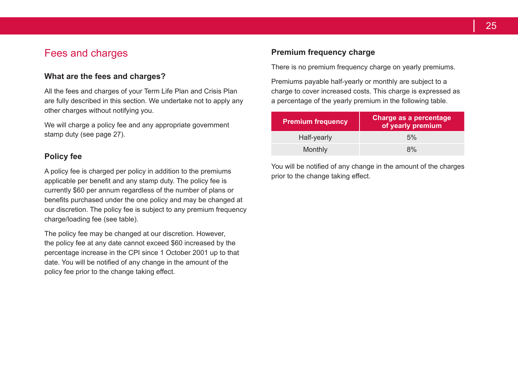## Fees and charges

#### **What are the fees and charges?**

All the fees and charges of your Term Life Plan and Crisis Plan are fully described in this section. We undertake not to apply any other charges without notifying you.

We will charge a policy fee and any appropriate government stamp duty (see page 27).

#### **Policy fee**

A policy fee is charged per policy in addition to the premiums applicable per benefit and any stamp duty. The policy fee is currently \$60 per annum regardless of the number of plans or benefits purchased under the one policy and may be changed at our discretion. The policy fee is subject to any premium frequency charge/loading fee (see table).

The policy fee may be changed at our discretion. However, the policy fee at any date cannot exceed \$60 increased by the percentage increase in the CPI since 1 October 2001 up to that date. You will be notified of any change in the amount of the policy fee prior to the change taking effect.

## **Premium frequency charge**

There is no premium frequency charge on yearly premiums.

Premiums payable half-yearly or monthly are subject to a charge to cover increased costs. This charge is expressed as a percentage of the yearly premium in the following table.

| <b>Premium frequency</b> | Charge as a percentage<br>of yearly premium |  |
|--------------------------|---------------------------------------------|--|
| Half-yearly              | 5%                                          |  |
| Monthly                  | 8%                                          |  |

You will be notified of any change in the amount of the charges prior to the change taking effect.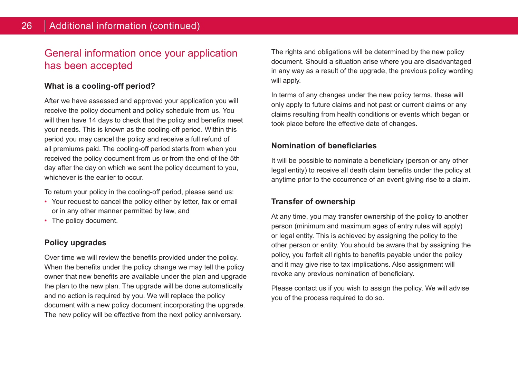# General information once your application has been accepted

## **What is a cooling-off period?**

After we have assessed and approved your application you will receive the policy document and policy schedule from us. You will then have 14 days to check that the policy and benefits meet your needs. This is known as the cooling-off period. Within this period you may cancel the policy and receive a full refund of all premiums paid. The cooling-off period starts from when you received the policy document from us or from the end of the 5th day after the day on which we sent the policy document to you, whichever is the earlier to occur.

To return your policy in the cooling-off period, please send us:

- Your request to cancel the policy either by letter, fax or email or in any other manner permitted by law, and
- The policy document.

## **Policy upgrades**

Over time we will review the benefits provided under the policy. When the benefits under the policy change we may tell the policy owner that new benefits are available under the plan and upgrade the plan to the new plan. The upgrade will be done automatically and no action is required by you. We will replace the policy document with a new policy document incorporating the upgrade. The new policy will be effective from the next policy anniversary.

The rights and obligations will be determined by the new policy document. Should a situation arise where you are disadvantaged in any way as a result of the upgrade, the previous policy wording will apply.

In terms of any changes under the new policy terms, these will only apply to future claims and not past or current claims or any claims resulting from health conditions or events which began or took place before the effective date of changes.

#### **Nomination of beneficiaries**

It will be possible to nominate a beneficiary (person or any other legal entity) to receive all death claim benefits under the policy at anytime prior to the occurrence of an event giving rise to a claim.

#### **Transfer of ownership**

At any time, you may transfer ownership of the policy to another person (minimum and maximum ages of entry rules will apply) or legal entity. This is achieved by assigning the policy to the other person or entity. You should be aware that by assigning the policy, you forfeit all rights to benefits payable under the policy and it may give rise to tax implications. Also assignment will revoke any previous nomination of beneficiary.

Please contact us if you wish to assign the policy. We will advise you of the process required to do so.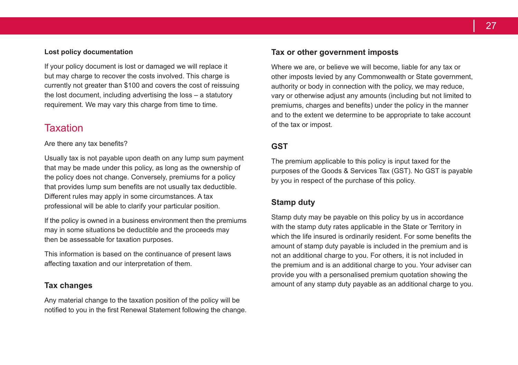#### **Lost policy documentation**

If your policy document is lost or damaged we will replace it but may charge to recover the costs involved. This charge is currently not greater than \$100 and covers the cost of reissuing the lost document, including advertising the loss – a statutory requirement. We may vary this charge from time to time.

# Taxation

Are there any tax benefits?

Usually tax is not payable upon death on any lump sum payment that may be made under this policy, as long as the ownership of the policy does not change. Conversely, premiums for a policy that provides lump sum benefits are not usually tax deductible. Different rules may apply in some circumstances. A tax professional will be able to clarify your particular position.

If the policy is owned in a business environment then the premiums may in some situations be deductible and the proceeds may then be assessable for taxation purposes.

This information is based on the continuance of present laws affecting taxation and our interpretation of them.

#### **Tax changes**

Any material change to the taxation position of the policy will be notified to you in the first Renewal Statement following the change.

#### **Tax or other government imposts**

Where we are, or believe we will become, liable for any tax or other imposts levied by any Commonwealth or State government, authority or body in connection with the policy, we may reduce, vary or otherwise adjust any amounts (including but not limited to premiums, charges and benefits) under the policy in the manner and to the extent we determine to be appropriate to take account of the tax or impost.

#### **GST**

The premium applicable to this policy is input taxed for the purposes of the Goods & Services Tax (GST). No GST is payable by you in respect of the purchase of this policy.

#### **Stamp duty**

Stamp duty may be payable on this policy by us in accordance with the stamp duty rates applicable in the State or Territory in which the life insured is ordinarily resident. For some benefits the amount of stamp duty payable is included in the premium and is not an additional charge to you. For others, it is not included in the premium and is an additional charge to you. Your adviser can provide you with a personalised premium quotation showing the amount of any stamp duty payable as an additional charge to you.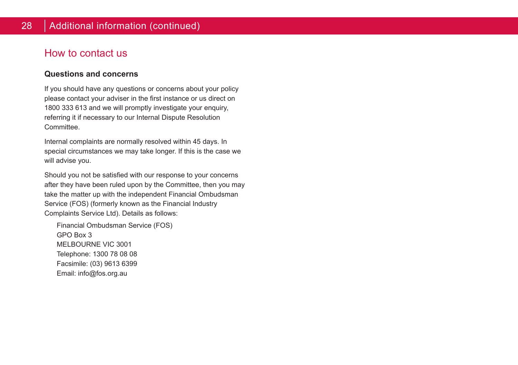# How to contact us

#### **Questions and concerns**

If you should have any questions or concerns about your policy please contact your adviser in the first instance or us direct on 1800 333 613 and we will promptly investigate your enquiry, referring it if necessary to our Internal Dispute Resolution **Committee.** 

Internal complaints are normally resolved within 45 days. In special circumstances we may take longer. If this is the case we will advise you.

Should you not be satisfied with our response to your concerns after they have been ruled upon by the Committee, then you may take the matter up with the independent Financial Ombudsman Service (FOS) (formerly known as the Financial Industry Complaints Service Ltd). Details as follows:

Financial Ombudsman Service (FOS) GPO Box 3 MELBOURNE VIC 3001 Telephone: 1300 78 08 08 Facsimile: (03) 9613 6399 Email: info@fos.org.au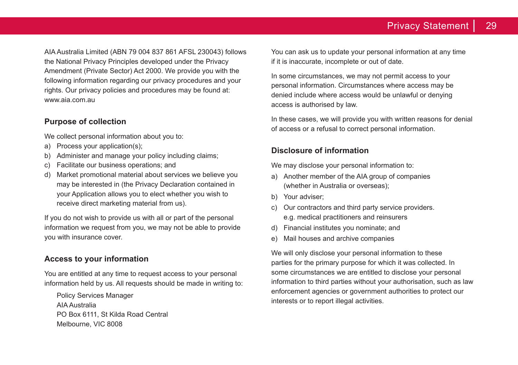AIA Australia Limited (ABN 79 004 837 861 AFSL 230043) follows the National Privacy Principles developed under the Privacy Amendment (Private Sector) Act 2000. We provide you with the following information regarding our privacy procedures and your rights. Our privacy policies and procedures may be found at: www.aia.com.au

#### **Purpose of collection**

We collect personal information about you to:

- a) Process your application(s);
- b) Administer and manage your policy including claims;
- c) Facilitate our business operations; and
- d) Market promotional material about services we believe you may be interested in (the Privacy Declaration contained in your Application allows you to elect whether you wish to receive direct marketing material from us).

If you do not wish to provide us with all or part of the personal information we request from you, we may not be able to provide you with insurance cover.

## **Access to your information**

You are entitled at any time to request access to your personal information held by us. All requests should be made in writing to:

Policy Services Manager AIA Australia PO Box 6111, St Kilda Road Central Melbourne, VIC 8008

You can ask us to update your personal information at any time if it is inaccurate, incomplete or out of date.

In some circumstances, we may not permit access to your personal information. Circumstances where access may be denied include where access would be unlawful or denying access is authorised by law.

In these cases, we will provide you with written reasons for denial of access or a refusal to correct personal information.

## **Disclosure of information**

We may disclose your personal information to:

- a) Another member of the AIA group of companies (whether in Australia or overseas);
- b) Your adviser;
- c) Our contractors and third party service providers. e.g. medical practitioners and reinsurers
- d) Financial institutes you nominate; and
- e) Mail houses and archive companies

We will only disclose your personal information to these parties for the primary purpose for which it was collected. In some circumstances we are entitled to disclose your personal information to third parties without your authorisation, such as law enforcement agencies or government authorities to protect our interests or to report illegal activities.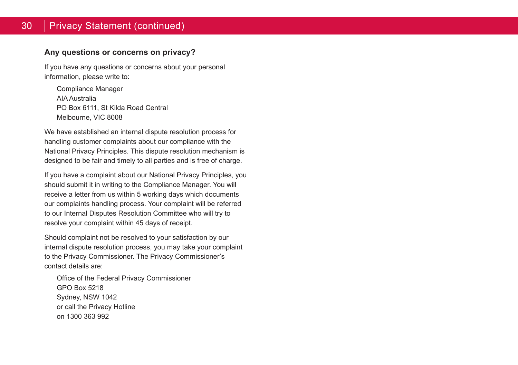## 30 Privacy Statement (continued)

#### **Any questions or concerns on privacy?**

If you have any questions or concerns about your personal information, please write to:

Compliance Manager AIA Australia PO Box 6111, St Kilda Road Central Melbourne, VIC 8008

We have established an internal dispute resolution process for handling customer complaints about our compliance with the National Privacy Principles. This dispute resolution mechanism is designed to be fair and timely to all parties and is free of charge.

If you have a complaint about our National Privacy Principles, you should submit it in writing to the Compliance Manager. You will receive a letter from us within 5 working days which documents our complaints handling process. Your complaint will be referred to our Internal Disputes Resolution Committee who will try to resolve your complaint within 45 days of receipt.

Should complaint not be resolved to your satisfaction by our internal dispute resolution process, you may take your complaint to the Privacy Commissioner. The Privacy Commissioner's contact details are:

Office of the Federal Privacy Commissioner GPO Box 5218 Sydney, NSW 1042 or call the Privacy Hotline on 1300 363 992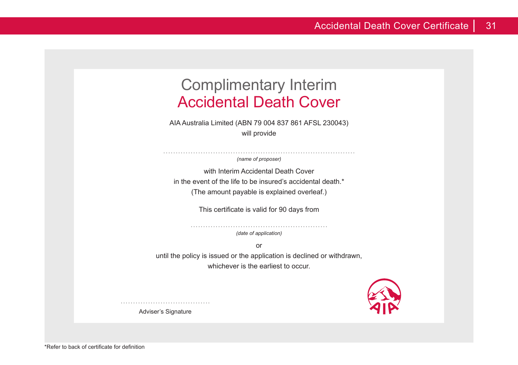# Complimentary Interim Accidental Death Cover

AIA Australia Limited (ABN 79 004 837 861 AFSL 230043) will provide

*(name of proposer)*

with Interim Accidental Death Cover in the event of the life to be insured's accidental death.<sup>\*</sup> (The amount payable is explained overleaf.)

This certificate is valid for 90 days from

*(date of application)*

or until the policy is issued or the application is declined or withdrawn, whichever is the earliest to occur.



Adviser's Signature

.......................................................

.............................................................................

\*Refer to back of certificate for definition

....................................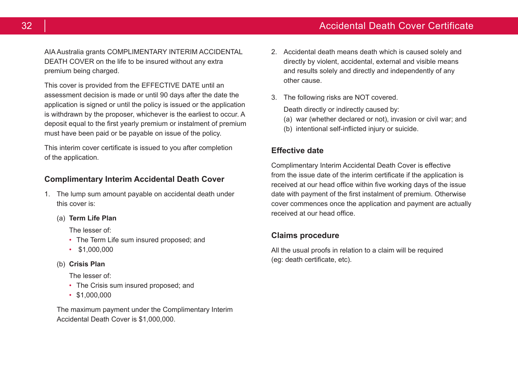AIA Australia grants COMPLIMENTARY INTERIM ACCIDENTAL DEATH COVER on the life to be insured without any extra premium being charged.

This cover is provided from the EFFECTIVE DATE until an assessment decision is made or until 90 days after the date the application is signed or until the policy is issued or the application is withdrawn by the proposer, whichever is the earliest to occur. A deposit equal to the first yearly premium or instalment of premium must have been paid or be payable on issue of the policy.

This interim cover certificate is issued to you after completion of the application.

#### **Complimentary Interim Accidental Death Cover**

- 1. The lump sum amount payable on accidental death under this cover is:
	- (a) **Term Life Plan**

The lesser of:

- The Term Life sum insured proposed: and
- \$1,000,000
- (b) **Crisis Plan**

The lesser of:

- The Crisis sum insured proposed: and
- \$1,000,000

The maximum payment under the Complimentary Interim Accidental Death Cover is \$1,000,000.

- 2. Accidental death means death which is caused solely and directly by violent, accidental, external and visible means and results solely and directly and independently of any other cause.
- 3. The following risks are NOT covered.

Death directly or indirectly caused by:

- (a) war (whether declared or not), invasion or civil war; and
- (b) intentional self-inflicted injury or suicide.

#### **Effective date**

Complimentary Interim Accidental Death Cover is effective from the issue date of the interim certificate if the application is received at our head office within five working days of the issue date with payment of the first instalment of premium. Otherwise cover commences once the application and payment are actually received at our head office.

#### **Claims procedure**

All the usual proofs in relation to a claim will be required (eg: death certificate, etc).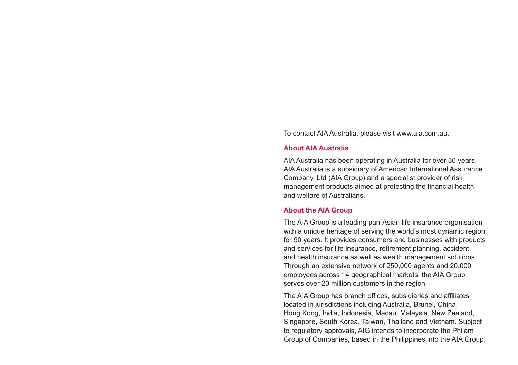To contact AIA Australia, please visit www.aia.com.au.

#### **About AIA Australia**

AIA Australia has been operating in Australia for over 30 years. AIA Australia is a subsidiary of American International Assurance Company, Ltd (AIA Group) and a specialist provider of risk management products aimed at protecting the financial health and welfare of Australians.

#### **About the AIA Group**

The AIA Group is a leading pan-Asian life insurance organisation with a unique heritage of serving the world's most dynamic region for 90 years. It provides consumers and businesses with products and services for life insurance, retirement planning, accident and health insurance as well as wealth management solutions. Through an extensive network of 250,000 agents and 20,000 employees across 14 geographical markets, the AIA Group serves over 20 million customers in the region.

The AIA Group has branch offices, subsidiaries and affiliates located in jurisdictions including Australia, Brunei, China, Hong Kong, India, Indonesia, Macau, Malaysia, New Zealand, Singapore, South Korea, Taiwan, Thailand and Vietnam. Subject to regulatory approvals, AIG intends to incorporate the Philam Group of Companies, based in the Philippines into the AIA Group.